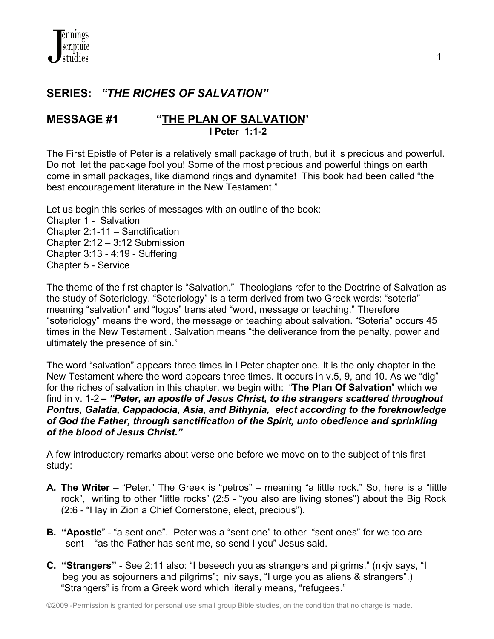# **SERIES:** *"THE RICHES OF SALVATION"*

## **MESSAGE #1 "THE PLAN OF SALVATION" I Peter 1:1-2**

The First Epistle of Peter is a relatively small package of truth, but it is precious and powerful. Do not let the package fool you! Some of the most precious and powerful things on earth come in small packages, like diamond rings and dynamite! This book had been called "the best encouragement literature in the New Testament."

1

Let us begin this series of messages with an outline of the book: Chapter 1 - Salvation Chapter 2:1-11 – Sanctification Chapter 2:12 – 3:12 Submission Chapter 3:13 - 4:19 - Suffering Chapter 5 - Service

The theme of the first chapter is "Salvation." Theologians refer to the Doctrine of Salvation as the study of Soteriology. "Soteriology" is a term derived from two Greek words: "soteria" meaning "salvation" and "logos" translated "word, message or teaching." Therefore "soteriology" means the word, the message or teaching about salvation. "Soteria" occurs 45 times in the New Testament . Salvation means "the deliverance from the penalty, power and ultimately the presence of sin."

The word "salvation" appears three times in I Peter chapter one. It is the only chapter in the New Testament where the word appears three times. It occurs in v.5, 9, and 10. As we "dig" for the riches of salvation in this chapter, we begin with: "**The Plan Of Salvation**" which we find in v. 1-2 **–** *"Peter, an apostle of Jesus Christ, to the strangers scattered throughout Pontus, Galatia, Cappadocia, Asia, and Bithynia, elect according to the foreknowledge of God the Father, through sanctification of the Spirit, unto obedience and sprinkling of the blood of Jesus Christ."*

A few introductory remarks about verse one before we move on to the subject of this first study:

- **A. The Writer** "Peter." The Greek is "petros" meaning "a little rock." So, here is a "little rock", writing to other "little rocks" (2:5 - "you also are living stones") about the Big Rock (2:6 - "I lay in Zion a Chief Cornerstone, elect, precious").
- **B. "Apostle**" "a sent one". Peter was a "sent one" to other "sent ones" for we too are sent – "as the Father has sent me, so send I you" Jesus said.
- **C. "Strangers"** See 2:11 also: "I beseech you as strangers and pilgrims." (nkjv says, "I beg you as sojourners and pilgrims"; niv says, "I urge you as aliens & strangers".) "Strangers" is from a Greek word which literally means, "refugees."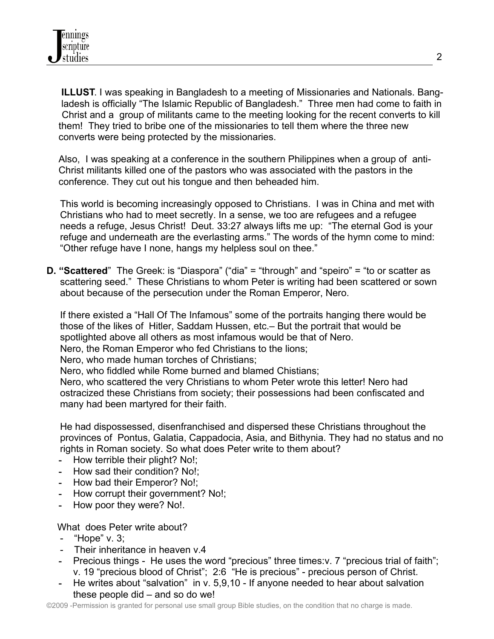**ILLUST**. I was speaking in Bangladesh to a meeting of Missionaries and Nationals. Bang ladesh is officially "The Islamic Republic of Bangladesh." Three men had come to faith in Christ and a group of militants came to the meeting looking for the recent converts to kill them! They tried to bribe one of the missionaries to tell them where the three new converts were being protected by the missionaries.

Also, I was speaking at a conference in the southern Philippines when a group of anti-Christ militants killed one of the pastors who was associated with the pastors in the conference. They cut out his tongue and then beheaded him.

 This world is becoming increasingly opposed to Christians. I was in China and met with Christians who had to meet secretly. In a sense, we too are refugees and a refugee needs a refuge, Jesus Christ! Deut. 33:27 always lifts me up: "The eternal God is your refuge and underneath are the everlasting arms." The words of the hymn come to mind: "Other refuge have I none, hangs my helpless soul on thee."

**D. "Scattered**" The Greek: is "Diaspora" ("dia" = "through" and "speiro" = "to or scatter as scattering seed." These Christians to whom Peter is writing had been scattered or sown about because of the persecution under the Roman Emperor, Nero.

 If there existed a "Hall Of The Infamous" some of the portraits hanging there would be those of the likes of Hitler, Saddam Hussen, etc.– But the portrait that would be spotlighted above all others as most infamous would be that of Nero.

Nero, the Roman Emperor who fed Christians to the lions;

Nero, who made human torches of Christians;

Nero, who fiddled while Rome burned and blamed Chistians;

 Nero, who scattered the very Christians to whom Peter wrote this letter! Nero had ostracized these Christians from society; their possessions had been confiscated and many had been martyred for their faith.

 He had dispossessed, disenfranchised and dispersed these Christians throughout the provinces of Pontus, Galatia, Cappadocia, Asia, and Bithynia. They had no status and no rights in Roman society. So what does Peter write to them about?

- **-** How terrible their plight? No!;
- **-** How sad their condition? No!;
- **-** How bad their Emperor? No!;
- **-** How corrupt their government? No!;
- **-** How poor they were? No!.

What does Peter write about?

- "Hope" v. 3;
- Their inheritance in heaven v.4
- **-** Precious things He uses the word "precious" three times:v. 7 "precious trial of faith"; v. 19 "precious blood of Christ"; 2:6 "He is precious" - precious person of Christ.
- **-** He writes about "salvation" in v. 5,9,10 If anyone needed to hear about salvation these people did – and so do we!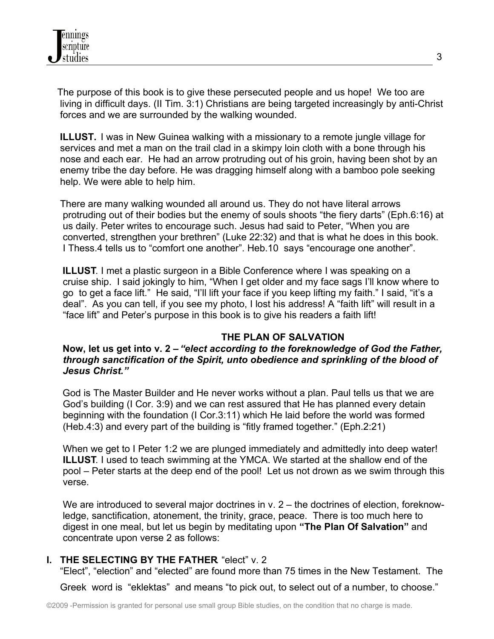The purpose of this book is to give these persecuted people and us hope! We too are living in difficult days. (II Tim. 3:1) Christians are being targeted increasingly by anti-Christ forces and we are surrounded by the walking wounded.

**ILLUST.** I was in New Guinea walking with a missionary to a remote jungle village for services and met a man on the trail clad in a skimpy loin cloth with a bone through his nose and each ear. He had an arrow protruding out of his groin, having been shot by an enemy tribe the day before. He was dragging himself along with a bamboo pole seeking help. We were able to help him.

 There are many walking wounded all around us. They do not have literal arrows protruding out of their bodies but the enemy of souls shoots "the fiery darts" (Eph.6:16) at us daily. Peter writes to encourage such. Jesus had said to Peter, "When you are converted, strengthen your brethren" (Luke 22:32) and that is what he does in this book. I Thess.4 tells us to "comfort one another". Heb.10 says "encourage one another".

 **ILLUST**. I met a plastic surgeon in a Bible Conference where I was speaking on a cruise ship. I said jokingly to him, "When I get older and my face sags I'll know where to go to get a face lift." He said, "I'll lift your face if you keep lifting my faith." I said, "it's a deal". As you can tell, if you see my photo, I lost his address! A "faith lift" will result in a "face lift" and Peter's purpose in this book is to give his readers a faith lift!

## **THE PLAN OF SALVATION**

#### **Now, let us get into v. 2 –** *"elect according to the foreknowledge of God the Father, through sanctification of the Spirit, unto obedience and sprinkling of the blood of Jesus Christ."*

God is The Master Builder and He never works without a plan. Paul tells us that we are God's building (I Cor. 3:9) and we can rest assured that He has planned every detain beginning with the foundation (I Cor.3:11) which He laid before the world was formed (Heb.4:3) and every part of the building is "fitly framed together." (Eph.2:21)

When we get to I Peter 1:2 we are plunged immediately and admittedly into deep water!  **ILLUST**. I used to teach swimming at the YMCA. We started at the shallow end of the pool – Peter starts at the deep end of the pool! Let us not drown as we swim through this verse.

We are introduced to several major doctrines in  $v \cdot 2$  – the doctrines of election, foreknow ledge, sanctification, atonement, the trinity, grace, peace. There is too much here to digest in one meal, but let us begin by meditating upon **"The Plan Of Salvation"** and concentrate upon verse 2 as follows:

#### **I. THE SELECTING BY THE FATHER** "elect" v. 2

"Elect", "election" and "elected" are found more than 75 times in the New Testament. The

Greek word is "eklektas" and means "to pick out, to select out of a number, to choose."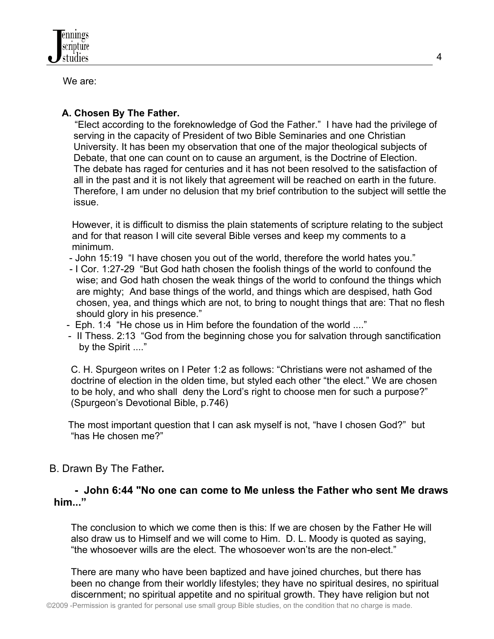We are:

# **A. Chosen By The Father.**

 "Elect according to the foreknowledge of God the Father." I have had the privilege of serving in the capacity of President of two Bible Seminaries and one Christian University. It has been my observation that one of the major theological subjects of Debate, that one can count on to cause an argument, is the Doctrine of Election. The debate has raged for centuries and it has not been resolved to the satisfaction of all in the past and it is not likely that agreement will be reached on earth in the future. Therefore, I am under no delusion that my brief contribution to the subject will settle the issue.

 However, it is difficult to dismiss the plain statements of scripture relating to the subject and for that reason I will cite several Bible verses and keep my comments to a minimum.

- John 15:19 "I have chosen you out of the world, therefore the world hates you."
- I Cor. 1:27-29 "But God hath chosen the foolish things of the world to confound the wise; and God hath chosen the weak things of the world to confound the things which are mighty; And base things of the world, and things which are despised, hath God chosen, yea, and things which are not, to bring to nought things that are: That no flesh should glory in his presence."
- Eph. 1:4 "He chose us in Him before the foundation of the world ...."
- II Thess. 2:13 "God from the beginning chose you for salvation through sanctification by the Spirit ...."

 C. H. Spurgeon writes on I Peter 1:2 as follows: "Christians were not ashamed of the doctrine of election in the olden time, but styled each other "the elect." We are chosen to be holy, and who shall deny the Lord's right to choose men for such a purpose?" (Spurgeon's Devotional Bible, p.746)

 The most important question that I can ask myself is not, "have I chosen God?" but "has He chosen me?"

# B. Drawn By The Father**.**

## **- John 6:44 "No one can come to Me unless the Father who sent Me draws him..."**

 The conclusion to which we come then is this: If we are chosen by the Father He will also draw us to Himself and we will come to Him. D. L. Moody is quoted as saying, "the whosoever wills are the elect. The whosoever won'ts are the non-elect."

 There are many who have been baptized and have joined churches, but there has been no change from their worldly lifestyles; they have no spiritual desires, no spiritual discernment; no spiritual appetite and no spiritual growth. They have religion but not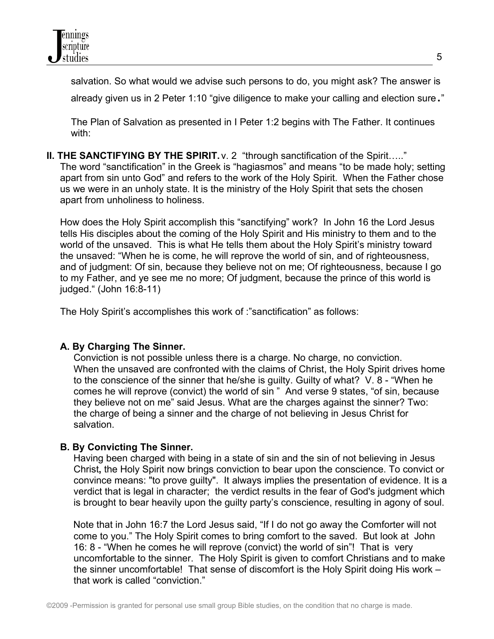

salvation. So what would we advise such persons to do, you might ask? The answer is

already given us in 2 Peter 1:10 "give diligence to make your calling and election sure."

 The Plan of Salvation as presented in I Peter 1:2 begins with The Father. It continues with:

## **II. THE SANCTIFYING BY THE SPIRIT.**  $v. 2$  "through sanctification of the Spirit....."

 The word "sanctification" in the Greek is "hagiasmos" and means "to be made holy; setting apart from sin unto God" and refers to the work of the Holy Spirit. When the Father chose us we were in an unholy state. It is the ministry of the Holy Spirit that sets the chosen apart from unholiness to holiness.

 How does the Holy Spirit accomplish this "sanctifying" work? In John 16 the Lord Jesus tells His disciples about the coming of the Holy Spirit and His ministry to them and to the world of the unsaved. This is what He tells them about the Holy Spirit's ministry toward the unsaved: "When he is come, he will reprove the world of sin, and of righteousness, and of judgment: Of sin, because they believe not on me; Of righteousness, because I go to my Father, and ye see me no more; Of judgment, because the prince of this world is judged." (John 16:8-11)

The Holy Spirit's accomplishes this work of :"sanctification" as follows:

#### **A. By Charging The Sinner.**

Conviction is not possible unless there is a charge. No charge, no conviction. When the unsaved are confronted with the claims of Christ, the Holy Spirit drives home to the conscience of the sinner that he/she is guilty. Guilty of what? V. 8 - "When he comes he will reprove (convict) the world of sin " And verse 9 states, "of sin, because they believe not on me" said Jesus. What are the charges against the sinner? Two: the charge of being a sinner and the charge of not believing in Jesus Christ for salvation.

#### **B. By Convicting The Sinner.**

Having been charged with being in a state of sin and the sin of not believing in Jesus Christ**,** the Holy Spirit now brings conviction to bear upon the conscience. To convict or convince means: "to prove guilty". It always implies the presentation of evidence. It is a verdict that is legal in character; the verdict results in the fear of God's judgment which is brought to bear heavily upon the guilty party's conscience, resulting in agony of soul.

Note that in John 16:7 the Lord Jesus said, "If I do not go away the Comforter will not come to you." The Holy Spirit comes to bring comfort to the saved. But look at John 16: 8 - "When he comes he will reprove (convict) the world of sin"! That is very uncomfortable to the sinner. The Holy Spirit is given to comfort Christians and to make the sinner uncomfortable! That sense of discomfort is the Holy Spirit doing His work – that work is called "conviction."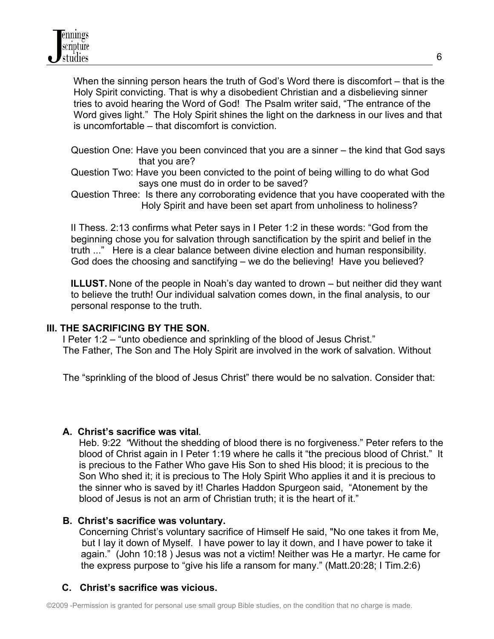When the sinning person hears the truth of God's Word there is discomfort – that is the Holy Spirit convicting. That is why a disobedient Christian and a disbelieving sinner tries to avoid hearing the Word of God! The Psalm writer said, "The entrance of the Word gives light." The Holy Spirit shines the light on the darkness in our lives and that is uncomfortable – that discomfort is conviction.

- Question One: Have you been convinced that you are a sinner the kind that God says that you are?
- Question Two: Have you been convicted to the point of being willing to do what God says one must do in order to be saved?
- Question Three:Is there any corroborating evidence that you have cooperated with the Holy Spirit and have been set apart from unholiness to holiness?

II Thess. 2:13 confirms what Peter says in I Peter 1:2 in these words: "God from the beginning chose you for salvation through sanctification by the spirit and belief in the truth ..." Here is a clear balance between divine election and human responsibility. God does the choosing and sanctifying – we do the believing! Have you believed?

 **ILLUST.** None of the people in Noah's day wanted to drown – but neither did they want to believe the truth! Our individual salvation comes down, in the final analysis, to our personal response to the truth.

#### **III. THE SACRIFICING BY THE SON.**

I Peter 1:2 – "unto obedience and sprinkling of the blood of Jesus Christ." The Father, The Son and The Holy Spirit are involved in the work of salvation. Without

The "sprinkling of the blood of Jesus Christ" there would be no salvation. Consider that:

## **A. Christ's sacrifice was vital**.

 Heb. 9:22 *"*Without the shedding of blood there is no forgiveness." Peter refers to the blood of Christ again in I Peter 1:19 where he calls it "the precious blood of Christ." It is precious to the Father Who gave His Son to shed His blood; it is precious to the Son Who shed it; it is precious to The Holy Spirit Who applies it and it is precious to the sinner who is saved by it! Charles Haddon Spurgeon said, "Atonement by the blood of Jesus is not an arm of Christian truth; it is the heart of it."

#### **B. Christ's sacrifice was voluntary.**

 Concerning Christ's voluntary sacrifice of Himself He said, "No one takes it from Me, but I lay it down of Myself. I have power to lay it down, and I have power to take it again." (John 10:18 ) Jesus was not a victim! Neither was He a martyr. He came for the express purpose to "give his life a ransom for many." (Matt.20:28; I Tim.2:6)

## **C. Christ's sacrifice was vicious.**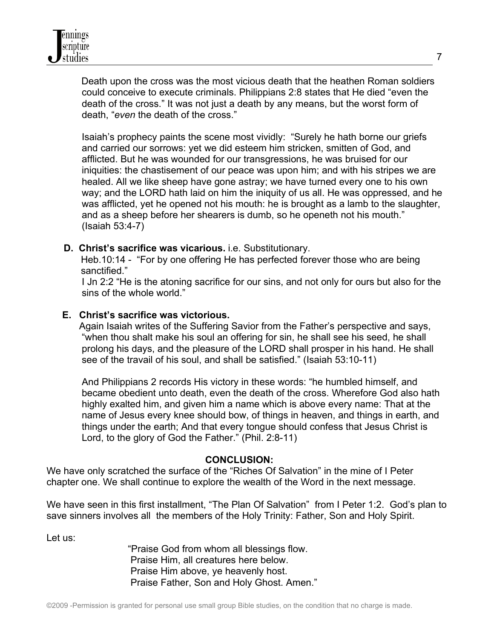Death upon the cross was the most vicious death that the heathen Roman soldiers could conceive to execute criminals. Philippians 2:8 states that He died "even the death of the cross." It was not just a death by any means, but the worst form of death, "*even* the death of the cross."

 Isaiah's prophecy paints the scene most vividly: "Surely he hath borne our griefs and carried our sorrows: yet we did esteem him stricken, smitten of God, and afflicted. But he was wounded for our transgressions, he was bruised for our iniquities: the chastisement of our peace was upon him; and with his stripes we are healed. All we like sheep have gone astray; we have turned every one to his own way; and the LORD hath laid on him the iniquity of us all. He was oppressed, and he was afflicted, yet he opened not his mouth: he is brought as a lamb to the slaughter, and as a sheep before her shearers is dumb, so he openeth not his mouth." (Isaiah 53:4-7)

 **D. Christ's sacrifice was vicarious.** i.e. Substitutionary.

 Heb.10:14 - "For by one offering He has perfected forever those who are being sanctified."

 I Jn 2:2 "He is the atoning sacrifice for our sins, and not only for ours but also for the sins of the whole world."

### **E. Christ's sacrifice was victorious.**

Again Isaiah writes of the Suffering Savior from the Father's perspective and says, "when thou shalt make his soul an offering for sin, he shall see his seed, he shall prolong his days, and the pleasure of the LORD shall prosper in his hand. He shall see of the travail of his soul, and shall be satisfied." (Isaiah 53:10-11)

 And Philippians 2 records His victory in these words: "he humbled himself, and became obedient unto death, even the death of the cross. Wherefore God also hath highly exalted him, and given him a name which is above every name: That at the name of Jesus every knee should bow, of things in heaven, and things in earth, and things under the earth; And that every tongue should confess that Jesus Christ is Lord, to the glory of God the Father." (Phil. 2:8-11)

#### **CONCLUSION:**

We have only scratched the surface of the "Riches Of Salvation" in the mine of I Peter chapter one. We shall continue to explore the wealth of the Word in the next message.

We have seen in this first installment, "The Plan Of Salvation" from I Peter 1:2. God's plan to save sinners involves all the members of the Holy Trinity: Father, Son and Holy Spirit.

Let us:

 "Praise God from whom all blessings flow. Praise Him, all creatures here below. Praise Him above, ye heavenly host. Praise Father, Son and Holy Ghost. Amen."